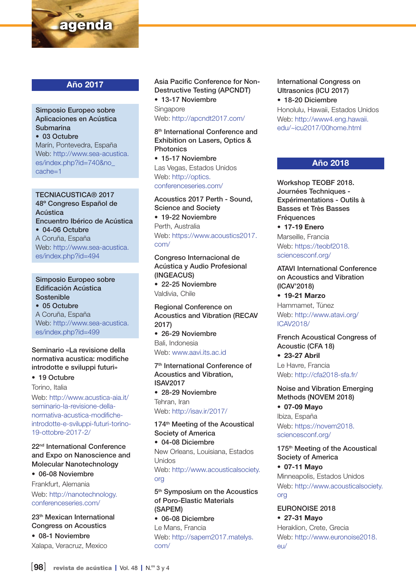

## Año 2017

### Simposio Europeo sobre Aplicaciones en Acústica Submarina • 03 Octubre Marín, Pontevedra, España

Web: [http://www.sea-acustica.](http://www.sea-acustica.es/index.php%3Fid%3D740%26no_cache%3D1) [es/index.php?id=740&no\\_](http://www.sea-acustica.es/index.php%3Fid%3D740%26no_cache%3D1) [cache=1](http://www.sea-acustica.es/index.php%3Fid%3D740%26no_cache%3D1)

TECNIACUSTICA® 2017 48º Congreso Español de Acústica Encuentro Ibérico de Acústica • 04-06 Octubre A Coruña, España Web: [http://www.sea-acustica.](http://http://www.sea-acustica.es/index.php%3Fid%3D494) [es/index.php?id=494](http://http://www.sea-acustica.es/index.php%3Fid%3D494)

## Simposio Europeo sobre Edificación Acústica Sostenible

• 05 Octubre A Coruña, España Web: [http://www.sea-acustica.](http://www.sea-acustica.es/index.php%3Fid%3D499) [es/index.php?id=499](http://www.sea-acustica.es/index.php%3Fid%3D499)

### Seminario «La revisione della normativa acustica: modifiche introdotte e sviluppi futuri»

• 19 Octubre

Torino, Italia

Web: [http://www.acustica-aia.it/](http://www.acustica-aia.it/seminario-la-revisione-della-normativa-acustica-modifiche-introdotte-e-sviluppi-futuri-torino-19-ottobre-2017-2/) [seminario-la-revisione-della](http://www.acustica-aia.it/seminario-la-revisione-della-normativa-acustica-modifiche-introdotte-e-sviluppi-futuri-torino-19-ottobre-2017-2/)[normativa-acustica-modifiche](http://www.acustica-aia.it/seminario-la-revisione-della-normativa-acustica-modifiche-introdotte-e-sviluppi-futuri-torino-19-ottobre-2017-2/)[introdotte-e-sviluppi-futuri-torino-](http://www.acustica-aia.it/seminario-la-revisione-della-normativa-acustica-modifiche-introdotte-e-sviluppi-futuri-torino-19-ottobre-2017-2/)[19-ottobre-2017-2/](http://www.acustica-aia.it/seminario-la-revisione-della-normativa-acustica-modifiche-introdotte-e-sviluppi-futuri-torino-19-ottobre-2017-2/)

### 22nd International Conference and Expo on Nanoscience and Molecular Nanotechnology

• 06-08 Noviembre

Frankfurt, Alemania

Web: [http://nanotechnology.](http://nanotechnology.conferenceseries.com/) [conferenceseries.com/](http://nanotechnology.conferenceseries.com/)

23th Mexican International Congress on Acoustics • 08-1 Noviembre Xalapa, Veracruz, Mexico

Asia Pacific Conference for Non-Destructive Testing (APCNDT)

• 13-17 Noviembre **Singapore** 

Web:<http://apcndt2017.com/>

8<sup>th</sup> International Conference and Exhibition on Lasers, Optics & Photonics

• 15-17 Noviembre Las Vegas, Estados Unidos Web: [http://optics.](http://optics.conferenceseries.com/) [conferenceseries.com/](http://optics.conferenceseries.com/)

Acoustics 2017 Perth - Sound, Science and Society • 19-22 Noviembre Perth, Australia Web: [https://www.acoustics2017.](https://www.acoustics2017.com/)

[com/](https://www.acoustics2017.com/)

Congreso Internacional de Acústica y Audio Profesional (INGEACUS)

• 22-25 Noviembre Valdivia, Chile

Regional Conference on Acoustics and Vibration (RECAV 2017)

• 26-29 Noviembre Bali, Indonesia Web: [www.aavi.its.ac.id](http://www.aavi.its.ac.id)

7th International Conference of Acoustics and Vibration, ISAV2017 • 28-29 Noviembre Tehran, Iran Web:<http://isav.ir/2017/>

174<sup>th</sup> Meeting of the Acoustical Society of America • 04-08 Diciembre

New Orleans, Louisiana, Estados Unidos Web: [http://www.acousticalsociety.](http://www.acousticalsociety.org) [org](http://www.acousticalsociety.org)

5<sup>th</sup> Symposium on the Acoustics of Poro-Elastic Materials (SAPEM)

• 06-08 Diciembre Le Mans, Francia Web: [http://sapem2017.matelys.](http://sapem2017.matelys.com/) [com/](http://sapem2017.matelys.com/)

## International Congress on Ultrasonics (ICU 2017)

• 18-20 Diciembre Honolulu, Hawaii, Estados Unidos Web: http://www4.eng.hawaii. edu/~icu2017/00home.html

## Año 2018

Workshop TEOBF 2018. Journées Techniques - Expérimentations - Outils à Basses et Très Basses Fréquences

• 17-19 Enero Marseille, Francia Web: [https://teobf2018.](https://teobf2018.sciencesconf.org/) [sciencesconf.org/](https://teobf2018.sciencesconf.org/)

ATAVI International Conference on Acoustics and Vibration (ICAV'2018)

• 19-21 Marzo Hammamet, Túnez Web: [http://www.atavi.org/](http://www.atavi.org/ICAV2018/) [ICAV2018/](http://www.atavi.org/ICAV2018/)

French Acoustical Congress of Acoustic (CFA 18) • 23-27 Abril Le Havre, Francia Web:<http://cfa2018-sfa.fr/>

Noise and Vibration Emerging Methods (NOVEM 2018)

• 07-09 Mayo Ibiza, España Web: [https://novem2018.](https://novem2018.sciencesconf.org/) [sciencesconf.org/](https://novem2018.sciencesconf.org/)

175<sup>th</sup> Meeting of the Acoustical Society of America • 07-11 Mayo Minneapolis, Estados Unidos Web: [http://www.acousticalsociety.](http://www.acousticalsociety.org)

[org](http://www.acousticalsociety.org)

EURONOISE 2018 • 27-31 Mayo Heraklion, Crete, Grecia Web: [http://www.euronoise2018.](http://www.euronoise2018.eu/) [eu/](http://www.euronoise2018.eu/)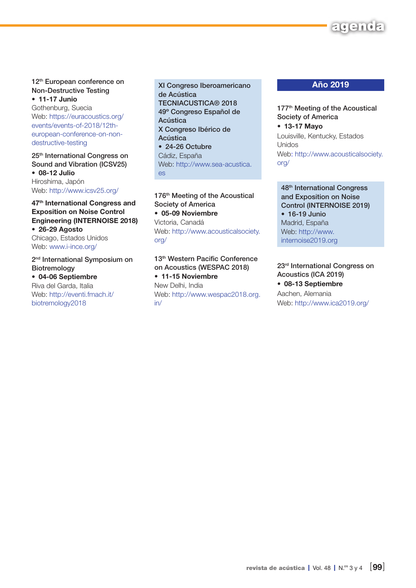# agen

#### 12th European conference on Non-Destructive Testing • 11-17 Junio

Gothenburg, Suecia Web: [https://euracoustics.org/](https://euracoustics.org/events/events-of-2018/12th-european-conference-on-non-destructive-testing) [events/events-of-2018/12th](https://euracoustics.org/events/events-of-2018/12th-european-conference-on-non-destructive-testing)[european-conference-on-non](https://euracoustics.org/events/events-of-2018/12th-european-conference-on-non-destructive-testing)[destructive-testing](https://euracoustics.org/events/events-of-2018/12th-european-conference-on-non-destructive-testing)

25th International Congress on Sound and Vibration (ICSV25) • 08-12 Julio Hiroshima, Japón Web: <http://www.icsv25.org/>

### 47<sup>th</sup> International Congress and Exposition on Noise Control Engineering (INTERNOISE 2018) • 26-29 Agosto Chicago, Estados Unidos

Web: [www.i-ince.org/](http://www.i-ince.org/)

2<sup>nd</sup> International Symposium on Biotremology • 04-06 Septiembre Riva del Garda, Italia

Web: [http://eventi.fmach.it/](http://eventi.fmach.it/biotremology2018) [biotremology2018](http://eventi.fmach.it/biotremology2018)

XI Congreso Iberoamericano de Acústica TECNIACUSTICA® 2018 49º Congreso Español de Acústica X Congreso Ibérico de Acústica • 24-26 Octubre Cádiz, España Web: [http://www.sea-acustica.](http://www.sea-acustica.es) [es](http://www.sea-acustica.es)

176<sup>th</sup> Meeting of the Acoustical Society of America • 05-09 Noviembre Victoria, Canadá Web: [http://www.acousticalsociety.](http://www.acousticalsociety.org/) [org/](http://www.acousticalsociety.org/)

13<sup>th</sup> Western Pacific Conference on Acoustics (WESPAC 2018)

• 11-15 Noviembre New Delhi, India Web: [http://www.wespac2018.org.](http://www.wespac2018.org.in/) [in/](http://www.wespac2018.org.in/)

## Año 2019

177<sup>th</sup> Meeting of the Acoustical Society of America • 13-17 Mayo Louisville, Kentucky, Estados Unidos Web: [http://www.acousticalsociety.](http://www.acousticalsociety.org/) [org/](http://www.acousticalsociety.org/)

48th International Congress and Exposition on Noise Control (INTERNOISE 2019) • 16-19 Junio Madrid, España Web: [http://www.](http://www.internoise2019.org) [internoise2019.org](http://www.internoise2019.org)

23rd International Congress on Acoustics (ICA 2019) • 08-13 Septiembre Aachen, Alemania Web:<http://www.ica2019.org/>